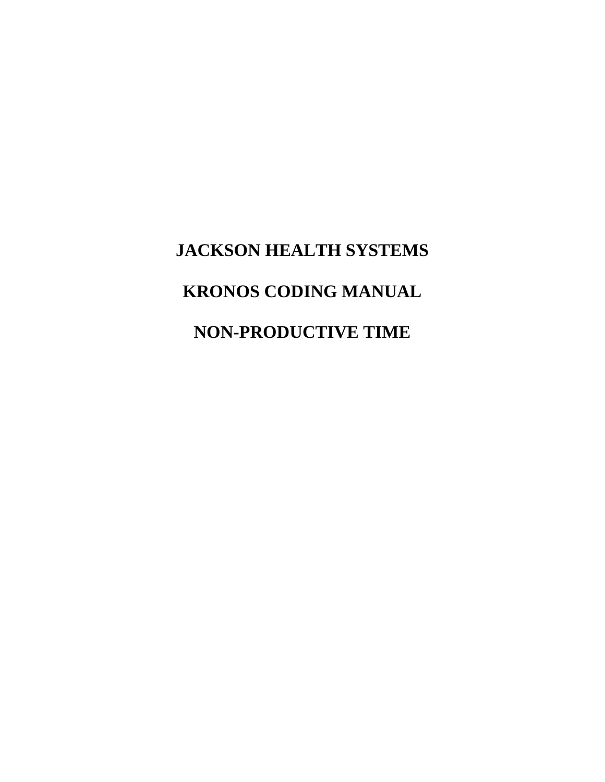# **JACKSON HEALTH SYSTEMS KRONOS CODING MANUAL NON-PRODUCTIVE TIME**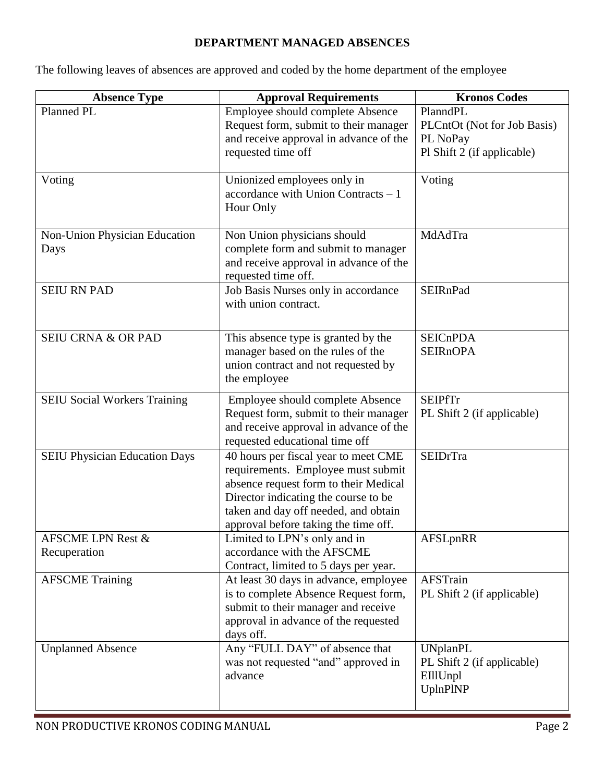### **DEPARTMENT MANAGED ABSENCES**

The following leaves of absences are approved and coded by the home department of the employee

| <b>Absence Type</b>                   | <b>Approval Requirements</b>                                                                                                                                                                                                                | <b>Kronos Codes</b>                                                               |
|---------------------------------------|---------------------------------------------------------------------------------------------------------------------------------------------------------------------------------------------------------------------------------------------|-----------------------------------------------------------------------------------|
| Planned PL                            | Employee should complete Absence<br>Request form, submit to their manager<br>and receive approval in advance of the<br>requested time off                                                                                                   | PlanndPL<br>PLCntOt (Not for Job Basis)<br>PL NoPay<br>Pl Shift 2 (if applicable) |
| Voting                                | Unionized employees only in<br>$accordance$ with Union Contracts $-1$<br>Hour Only                                                                                                                                                          | Voting                                                                            |
| Non-Union Physician Education<br>Days | Non Union physicians should<br>complete form and submit to manager<br>and receive approval in advance of the<br>requested time off.                                                                                                         | MdAdTra                                                                           |
| <b>SEIU RN PAD</b>                    | Job Basis Nurses only in accordance<br>with union contract.                                                                                                                                                                                 | <b>SEIRnPad</b>                                                                   |
| <b>SEIU CRNA &amp; OR PAD</b>         | This absence type is granted by the<br>manager based on the rules of the<br>union contract and not requested by<br>the employee                                                                                                             | <b>SEICnPDA</b><br><b>SEIRnOPA</b>                                                |
| <b>SEIU Social Workers Training</b>   | Employee should complete Absence<br>Request form, submit to their manager<br>and receive approval in advance of the<br>requested educational time off                                                                                       | <b>SEIPfTr</b><br>PL Shift 2 (if applicable)                                      |
| <b>SEIU Physician Education Days</b>  | 40 hours per fiscal year to meet CME<br>requirements. Employee must submit<br>absence request form to their Medical<br>Director indicating the course to be<br>taken and day off needed, and obtain<br>approval before taking the time off. | <b>SEIDrTra</b>                                                                   |
| AFSCME LPN Rest &<br>Recuperation     | Limited to LPN's only and in<br>accordance with the AFSCME<br>Contract, limited to 5 days per year.                                                                                                                                         | AFSLpnRR                                                                          |
| <b>AFSCME</b> Training                | At least 30 days in advance, employee<br>is to complete Absence Request form,<br>submit to their manager and receive<br>approval in advance of the requested<br>days off.                                                                   | <b>AFSTrain</b><br>PL Shift 2 (if applicable)                                     |
| <b>Unplanned Absence</b>              | Any "FULL DAY" of absence that<br>was not requested "and" approved in<br>advance                                                                                                                                                            | <b>UNplanPL</b><br>PL Shift 2 (if applicable)<br>EIllUnpl<br>UplnPlNP             |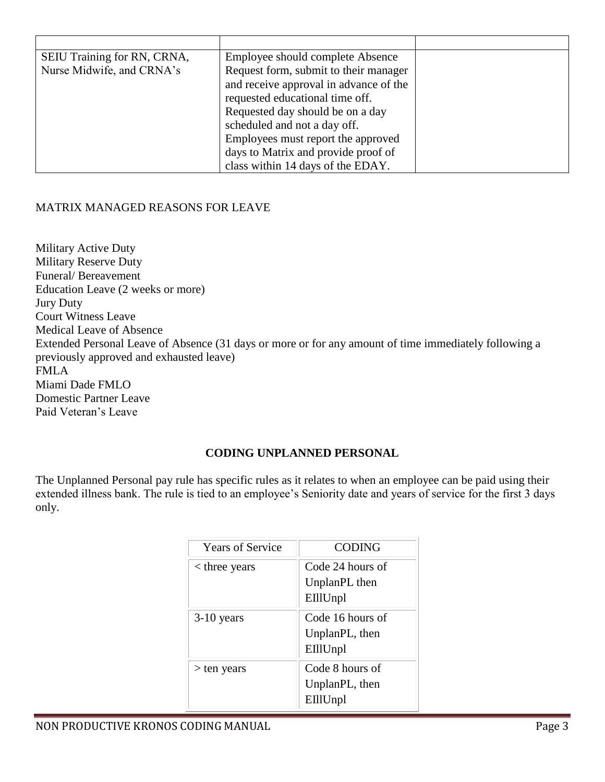| SEIU Training for RN, CRNA, | Employee should complete Absence       |  |
|-----------------------------|----------------------------------------|--|
| Nurse Midwife, and CRNA's   | Request form, submit to their manager  |  |
|                             | and receive approval in advance of the |  |
|                             | requested educational time off.        |  |
|                             | Requested day should be on a day       |  |
|                             | scheduled and not a day off.           |  |
|                             | Employees must report the approved     |  |
|                             | days to Matrix and provide proof of    |  |
|                             | class within 14 days of the EDAY.      |  |

### MATRIX MANAGED REASONS FOR LEAVE

Military Active Duty Military Reserve Duty Funeral/ Bereavement Education Leave (2 weeks or more) Jury Duty Court Witness Leave Medical Leave of Absence Extended Personal Leave of Absence (31 days or more or for any amount of time immediately following a previously approved and exhausted leave) FMLA Miami Dade FMLO Domestic Partner Leave Paid Veteran's Leave

### **CODING UNPLANNED PERSONAL**

The Unplanned Personal pay rule has specific rules as it relates to when an employee can be paid using their extended illness bank. The rule is tied to an employee's Seniority date and years of service for the first 3 days only.

| <b>Years of Service</b> | <b>CODING</b>    |
|-------------------------|------------------|
| $<$ three years         | Code 24 hours of |
|                         | UnplanPL then    |
|                         | EIllUnpl         |
| $3-10$ years            | Code 16 hours of |
|                         | UnplanPL, then   |
|                         | EIllUnpl         |
| ten years               | Code 8 hours of  |
|                         | UnplanPL, then   |
|                         | EIllUnpl         |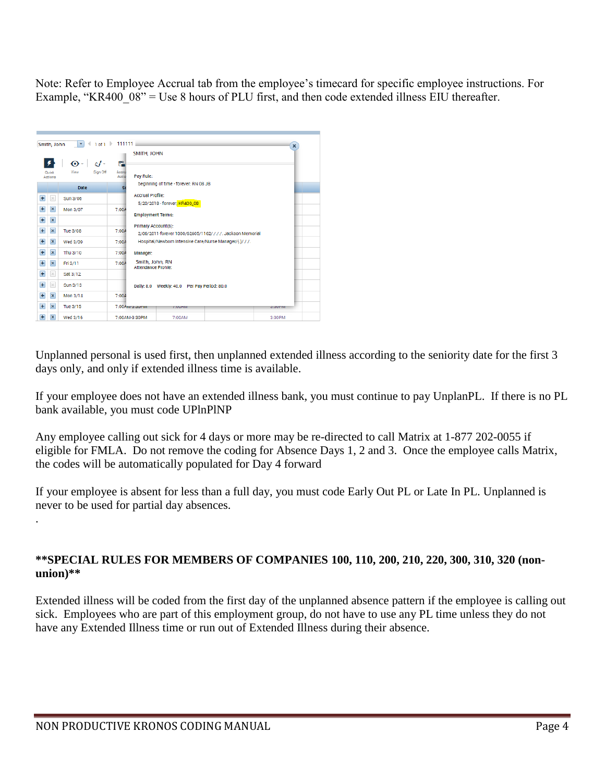Note: Refer to Employee Accrual tab from the employee's timecard for specific employee instructions. For Example, "KR400  $08$ " = Use 8 hours of PLU first, and then code extended illness EIU thereafter.

| Smith, John |                  | $  \mathbf{v}   \cdot   _{10f1}$ 111111 |                   |                                                                                   | X      |
|-------------|------------------|-----------------------------------------|-------------------|-----------------------------------------------------------------------------------|--------|
|             |                  |                                         |                   | SMITH, JOHN                                                                       |        |
|             |                  | $c$ i $\cdot$<br>$\bullet$ .            | 鸙                 |                                                                                   |        |
|             | Quick<br>Actiona | Sign Off<br>View                        | Aporu<br>Actio    | Pay Rule:                                                                         |        |
|             |                  | Date                                    | S)                | beginning of time - forever; RN 08 JB                                             |        |
| $+$         | $\times$         | Sun 3/06                                |                   | <b>Accrual Profile:</b>                                                           |        |
|             |                  |                                         |                   | 5/20/2018 - forever: KR400_08                                                     |        |
| $+$         | $\pmb{\times}$   | Mon 3/07                                | 7:00A             | <b>Employment Terms:</b>                                                          |        |
| $+$         | $\pmb{\times}$   |                                         |                   |                                                                                   |        |
| $+$         | $\pmb{\times}$   | Tue 3/08                                | 7:00A             | Primary Account(s):<br>2/06/2011-forever 1000/62605/1162/./././. Jackson Memorial |        |
| $+$         | $\pmb{\times}$   | Wed 3/09                                | 7:00A             | Hospital/Newborn Intensive Care/Nurse Manager/{.}/././.                           |        |
| $+$         | $\pmb{\times}$   | Thu 3/10                                | 7:00A<br>Manager: |                                                                                   |        |
| $+$         | $\pmb{\times}$   | Fri 3/11                                | 7:00A             | Smith, John, RN<br><b>Attendance Profile:</b>                                     |        |
| $+$         | $\times$         | Sat 3/12                                |                   |                                                                                   |        |
| $+$         | $\times$         | Sun 3/13                                |                   | Daily: 8.0 Weekly: 40.0 Per Pay Period: 80.0                                      |        |
| $+$         | $\pmb{\times}$   | Mon 3/14                                | 7:00A             |                                                                                   |        |
| $+$         | $\pmb{\times}$   | Tue 3/15                                | 7:00 Annassumm    | <b>TUUAM</b>                                                                      | 3.3UMM |
| $+$         | $\pmb{\times}$   | Wed 3/16                                | 7:00AM-3:30PM     | 7:00AM                                                                            | 3:30PM |

Unplanned personal is used first, then unplanned extended illness according to the seniority date for the first 3 days only, and only if extended illness time is available.

If your employee does not have an extended illness bank, you must continue to pay UnplanPL. If there is no PL bank available, you must code UPlnPlNP

Any employee calling out sick for 4 days or more may be re-directed to call Matrix at 1-877 202-0055 if eligible for FMLA. Do not remove the coding for Absence Days 1, 2 and 3. Once the employee calls Matrix, the codes will be automatically populated for Day 4 forward

If your employee is absent for less than a full day, you must code Early Out PL or Late In PL. Unplanned is never to be used for partial day absences.

### **\*\*SPECIAL RULES FOR MEMBERS OF COMPANIES 100, 110, 200, 210, 220, 300, 310, 320 (nonunion)\*\***

Extended illness will be coded from the first day of the unplanned absence pattern if the employee is calling out sick. Employees who are part of this employment group, do not have to use any PL time unless they do not have any Extended Illness time or run out of Extended Illness during their absence.

.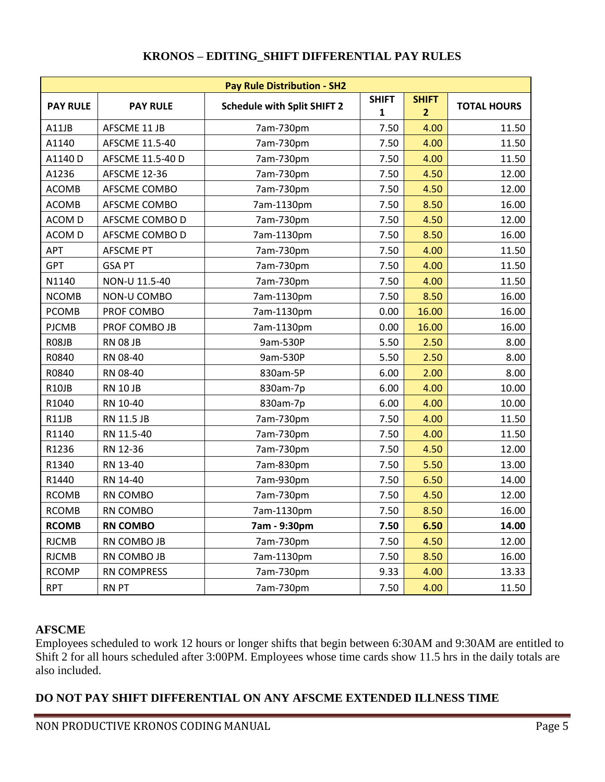| <b>Pay Rule Distribution - SH2</b> |                     |                                    |              |                |                    |  |  |
|------------------------------------|---------------------|------------------------------------|--------------|----------------|--------------------|--|--|
|                                    |                     |                                    | <b>SHIFT</b> | <b>SHIFT</b>   |                    |  |  |
| <b>PAY RULE</b>                    | <b>PAY RULE</b>     | <b>Schedule with Split SHIFT 2</b> | $\mathbf{1}$ | 2 <sup>2</sup> | <b>TOTAL HOURS</b> |  |  |
| A11JB                              | AFSCME 11 JB        | 7am-730pm                          | 7.50         | 4.00           | 11.50              |  |  |
| A1140                              | AFSCME 11.5-40      | 7am-730pm                          | 7.50         | 4.00           | 11.50              |  |  |
| A1140 D                            | AFSCME 11.5-40 D    | 7am-730pm                          | 7.50         | 4.00           | 11.50              |  |  |
| A1236                              | <b>AFSCME 12-36</b> | 7am-730pm                          | 7.50         | 4.50           | 12.00              |  |  |
| <b>ACOMB</b>                       | AFSCME COMBO        | 7am-730pm                          | 7.50         | 4.50           | 12.00              |  |  |
| <b>ACOMB</b>                       | AFSCME COMBO        | 7am-1130pm                         | 7.50         | 8.50           | 16.00              |  |  |
| ACOM D                             | AFSCME COMBO D      | 7am-730pm                          | 7.50         | 4.50           | 12.00              |  |  |
| ACOM D                             | AFSCME COMBO D      | 7am-1130pm                         | 7.50         | 8.50           | 16.00              |  |  |
| APT                                | <b>AFSCME PT</b>    | 7am-730pm                          | 7.50         | 4.00           | 11.50              |  |  |
| GPT                                | <b>GSA PT</b>       | 7am-730pm                          | 7.50         | 4.00           | 11.50              |  |  |
| N1140                              | NON-U 11.5-40       | 7am-730pm                          | 7.50         | 4.00           | 11.50              |  |  |
| <b>NCOMB</b>                       | NON-U COMBO         | 7am-1130pm                         | 7.50         | 8.50           | 16.00              |  |  |
| <b>PCOMB</b>                       | PROF COMBO          | 7am-1130pm                         | 0.00         | 16.00          | 16.00              |  |  |
| <b>PJCMB</b>                       | PROF COMBO JB       | 7am-1130pm                         | 0.00         | 16.00          | 16.00              |  |  |
| R08JB                              | <b>RN 08 JB</b>     | 9am-530P                           | 5.50         | 2.50           | 8.00               |  |  |
| R0840                              | RN 08-40            | 9am-530P                           | 5.50         | 2.50           | 8.00               |  |  |
| R0840                              | RN 08-40            | 830am-5P                           | 6.00         | 2.00           | 8.00               |  |  |
| R <sub>10</sub> JB                 | <b>RN 10 JB</b>     | 830am-7p                           | 6.00         | 4.00           | 10.00              |  |  |
| R1040                              | RN 10-40            | 830am-7p                           | 6.00         | 4.00           | 10.00              |  |  |
| R11JB                              | RN 11.5 JB          | 7am-730pm                          | 7.50         | 4.00           | 11.50              |  |  |
| R1140                              | RN 11.5-40          | 7am-730pm                          | 7.50         | 4.00           | 11.50              |  |  |
| R1236                              | RN 12-36            | 7am-730pm                          | 7.50         | 4.50           | 12.00              |  |  |
| R1340                              | RN 13-40            | 7am-830pm                          | 7.50         | 5.50           | 13.00              |  |  |
| R1440                              | RN 14-40            | 7am-930pm                          | 7.50         | 6.50           | 14.00              |  |  |
| <b>RCOMB</b>                       | RN COMBO            | 7am-730pm                          | 7.50         | 4.50           | 12.00              |  |  |
| <b>RCOMB</b>                       | RN COMBO            | 7am-1130pm                         | 7.50         | 8.50           | 16.00              |  |  |
| <b>RCOMB</b>                       | <b>RN COMBO</b>     | 7am - 9:30pm                       | 7.50         | 6.50           | 14.00              |  |  |
| <b>RJCMB</b>                       | RN COMBO JB         | 7am-730pm                          | 7.50         | 4.50           | 12.00              |  |  |
| <b>RJCMB</b>                       | RN COMBO JB         | 7am-1130pm                         | 7.50         | 8.50           | 16.00              |  |  |
| <b>RCOMP</b>                       | RN COMPRESS         | 7am-730pm                          | 9.33         | 4.00           | 13.33              |  |  |
| <b>RPT</b>                         | <b>RN PT</b>        | 7am-730pm                          | 7.50         | 4.00           | 11.50              |  |  |

## **KRONOS – EDITING\_SHIFT DIFFERENTIAL PAY RULES**

# **AFSCME**

Employees scheduled to work 12 hours or longer shifts that begin between 6:30AM and 9:30AM are entitled to Shift 2 for all hours scheduled after 3:00PM. Employees whose time cards show 11.5 hrs in the daily totals are also included.

# **DO NOT PAY SHIFT DIFFERENTIAL ON ANY AFSCME EXTENDED ILLNESS TIME**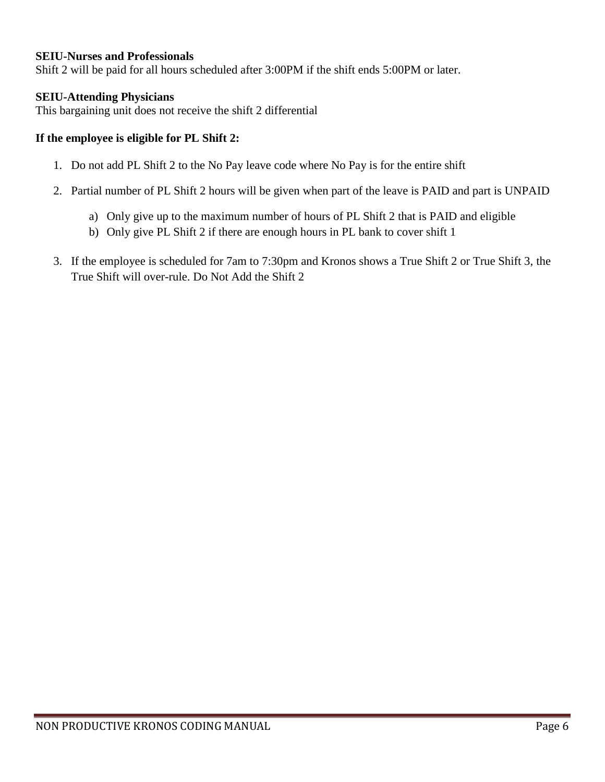#### **SEIU-Nurses and Professionals**

Shift 2 will be paid for all hours scheduled after 3:00PM if the shift ends 5:00PM or later.

#### **SEIU-Attending Physicians**

This bargaining unit does not receive the shift 2 differential

#### **If the employee is eligible for PL Shift 2:**

- 1. Do not add PL Shift 2 to the No Pay leave code where No Pay is for the entire shift
- 2. Partial number of PL Shift 2 hours will be given when part of the leave is PAID and part is UNPAID
	- a) Only give up to the maximum number of hours of PL Shift 2 that is PAID and eligible
	- b) Only give PL Shift 2 if there are enough hours in PL bank to cover shift 1
- 3. If the employee is scheduled for 7am to 7:30pm and Kronos shows a True Shift 2 or True Shift 3, the True Shift will over-rule. Do Not Add the Shift 2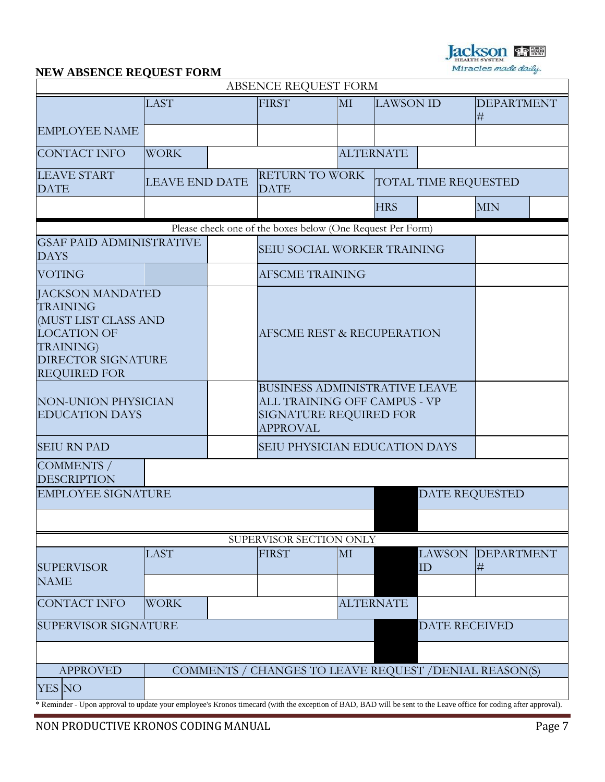**Jackson Party** Miracles made daily.

# **NEW ABSENCE REQUEST FORM**

|                                                                                                                                                                   |                       |  | ABSENCE REQUEST FORM                                                                                                     |    |                      |                       |                           |  |
|-------------------------------------------------------------------------------------------------------------------------------------------------------------------|-----------------------|--|--------------------------------------------------------------------------------------------------------------------------|----|----------------------|-----------------------|---------------------------|--|
|                                                                                                                                                                   | <b>LAST</b>           |  | <b>FIRST</b>                                                                                                             | MI | <b>LAWSON ID</b>     |                       | <b>DEPARTMENT</b><br>$\#$ |  |
| <b>EMPLOYEE NAME</b>                                                                                                                                              |                       |  |                                                                                                                          |    |                      |                       |                           |  |
| <b>CONTACT INFO</b>                                                                                                                                               | <b>WORK</b>           |  |                                                                                                                          |    | <b>ALTERNATE</b>     |                       |                           |  |
| <b>LEAVE START</b><br><b>DATE</b>                                                                                                                                 | <b>LEAVE END DATE</b> |  | <b>RETURN TO WORK</b><br><b>DATE</b>                                                                                     |    | TOTAL TIME REQUESTED |                       |                           |  |
|                                                                                                                                                                   |                       |  |                                                                                                                          |    | <b>HRS</b>           |                       | <b>MIN</b>                |  |
|                                                                                                                                                                   |                       |  | Please check one of the boxes below (One Request Per Form)                                                               |    |                      |                       |                           |  |
| <b>GSAF PAID ADMINISTRATIVE</b><br><b>DAYS</b>                                                                                                                    |                       |  | SEIU SOCIAL WORKER TRAINING                                                                                              |    |                      |                       |                           |  |
| <b>VOTING</b>                                                                                                                                                     |                       |  | <b>AFSCME TRAINING</b>                                                                                                   |    |                      |                       |                           |  |
| <b>JACKSON MANDATED</b><br><b>TRAINING</b><br>(MUST LIST CLASS AND<br><b>LOCATION OF</b><br><b>TRAINING</b> )<br><b>DIRECTOR SIGNATURE</b><br><b>REQUIRED FOR</b> |                       |  | <b>AFSCME REST &amp; RECUPERATION</b>                                                                                    |    |                      |                       |                           |  |
| <b>NON-UNION PHYSICIAN</b><br><b>EDUCATION DAYS</b>                                                                                                               |                       |  | <b>BUSINESS ADMINISTRATIVE LEAVE</b><br><b>ALL TRAINING OFF CAMPUS - VP</b><br>SIGNATURE REQUIRED FOR<br><b>APPROVAL</b> |    |                      |                       |                           |  |
| <b>SEIU RN PAD</b>                                                                                                                                                |                       |  | <b>SEIU PHYSICIAN EDUCATION DAYS</b>                                                                                     |    |                      |                       |                           |  |
| COMMENTS /<br><b>DESCRIPTION</b>                                                                                                                                  |                       |  |                                                                                                                          |    |                      |                       |                           |  |
| <b>EMPLOYEE SIGNATURE</b>                                                                                                                                         |                       |  |                                                                                                                          |    |                      | <b>DATE REQUESTED</b> |                           |  |
|                                                                                                                                                                   |                       |  |                                                                                                                          |    |                      |                       |                           |  |
|                                                                                                                                                                   |                       |  | SUPERVISOR SECTION ONLY                                                                                                  |    |                      |                       |                           |  |
| <b>SUPERVISOR</b>                                                                                                                                                 | <b>LAST</b>           |  | <b>FIRST</b>                                                                                                             | MI |                      | <b>LAWSON</b>         | <b>DEPARTMENT</b>         |  |
| <b>NAME</b>                                                                                                                                                       |                       |  |                                                                                                                          |    |                      | ID                    | #                         |  |
| <b>CONTACT INFO</b>                                                                                                                                               | <b>WORK</b>           |  |                                                                                                                          |    | <b>ALTERNATE</b>     |                       |                           |  |
| <b>SUPERVISOR SIGNATURE</b>                                                                                                                                       |                       |  |                                                                                                                          |    |                      | <b>DATE RECEIVED</b>  |                           |  |
|                                                                                                                                                                   |                       |  |                                                                                                                          |    |                      |                       |                           |  |
| <b>APPROVED</b>                                                                                                                                                   |                       |  | COMMENTS / CHANGES TO LEAVE REQUEST / DENIAL REASON(S)                                                                   |    |                      |                       |                           |  |
| YES NO                                                                                                                                                            |                       |  |                                                                                                                          |    |                      |                       |                           |  |
| * Reminder - Upon approval to update your employee's Kronos timecard (with the exception of BAD, BAD will be sent to the Leave office for coding after approval). |                       |  |                                                                                                                          |    |                      |                       |                           |  |